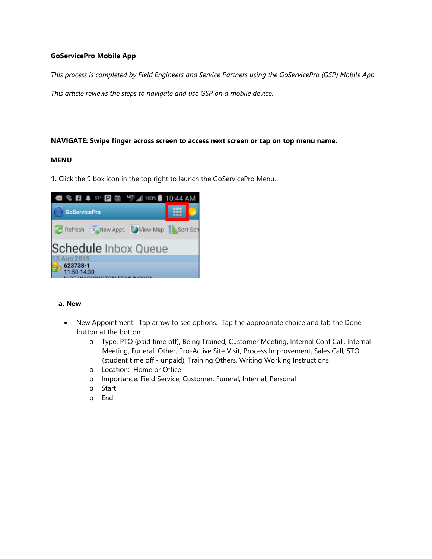## **GoServicePro Mobile App**

*This process is completed by Field Engineers and Service Partners using the GoServicePro (GSP) Mobile App.* 

*This article reviews the steps to navigate and use GSP on a mobile device.* 

#### **NAVIGATE: Swipe finger across screen to access next screen or tap on top menu name.**

#### **MENU**

**1.** Click the 9 box icon in the top right to launch the GoServicePro Menu.



#### **a. New**

- New Appointment: Tap arrow to see options. Tap the appropriate choice and tab the Done button at the bottom.
	- o Type: PTO (paid time off), Being Trained, Customer Meeting, Internal Conf Call, Internal Meeting, Funeral, Other, Pro-Active Site Visit, Process Improvement, Sales Call, STO (student time off - unpaid), Training Others, Writing Working Instructions
	- o Location: Home or Office
	- o Importance: Field Service, Customer, Funeral, Internal, Personal
	- o Start
	- o End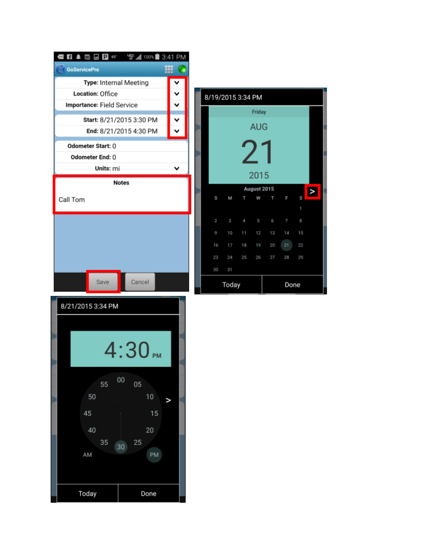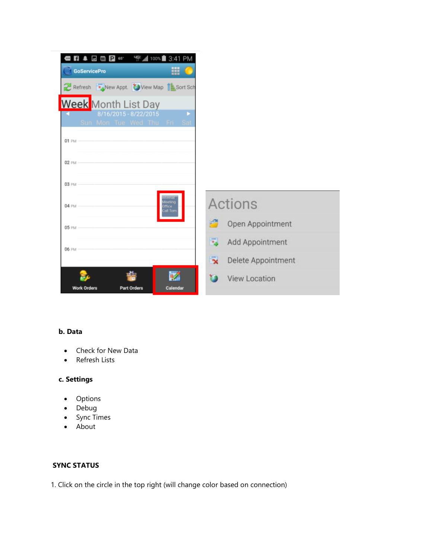| ⊡<br>⊞<br><b>GoServicePro</b>                                                   |                                          |
|---------------------------------------------------------------------------------|------------------------------------------|
| Refresh <b>Ta</b> New Appt. View Map <b>B</b> Sort Sch                          |                                          |
| <b>Week</b> Month List Day                                                      |                                          |
| 8/16/2015 - 8/22/2015<br>ь<br>Sun Mon Tue Wed Thu Fri Sat                       |                                          |
| 01 PM                                                                           |                                          |
|                                                                                 |                                          |
| 02 PM                                                                           |                                          |
| 03 PM                                                                           |                                          |
| <b>Internal</b><br><i><b>Aceting</b></i><br><b>04 PM</b><br>) Micell<br>ill Tom | <b>Actions</b>                           |
| 05 PM                                                                           | 譚<br>Open Appointment                    |
| <b>06 PM</b>                                                                    | 副<br>Add Appointment                     |
|                                                                                 | $\bar{\mathbf{x}}$<br>Delete Appointment |
|                                                                                 | <b>View Location</b>                     |

## **b. Data**

- Check for New Data
- Refresh Lists

# **c. Settings**

- Options
- Debug
- Sync Times
- About

## **SYNC STATUS**

1. Click on the circle in the top right (will change color based on connection)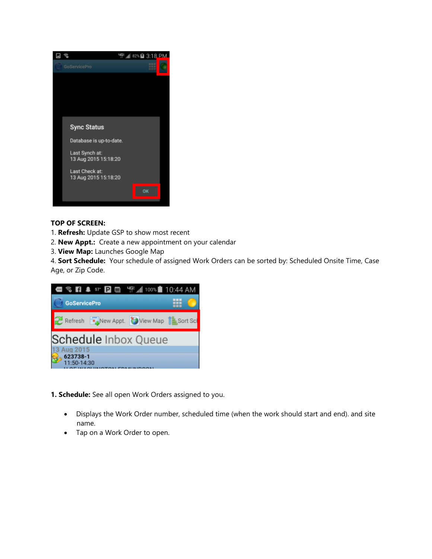

## **TOP OF SCREEN:**

- 1. **Refresh:** Update GSP to show most recent
- 2. **New Appt.:** Create a new appointment on your calendar
- 3. **View Map:** Launches Google Map

4. **Sort Schedule:** Your schedule of assigned Work Orders can be sorted by: Scheduled Onsite Time, Case Age, or Zip Code.



**1. Schedule:** See all open Work Orders assigned to you.

- Displays the Work Order number, scheduled time (when the work should start and end). and site name.
- Tap on a Work Order to open.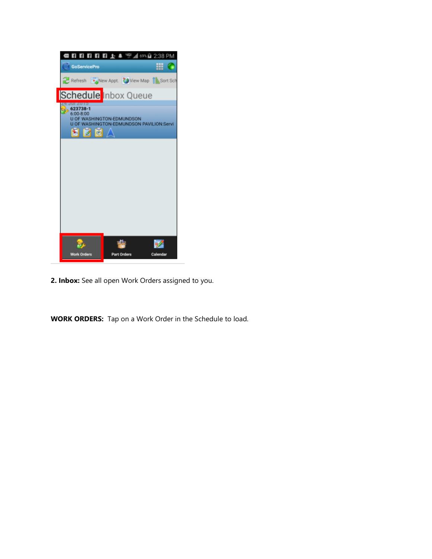| <b>日日日日日上</b> ↓ 空⊿ 69%自 2:38 PM                                                       |                         |          |
|---------------------------------------------------------------------------------------|-------------------------|----------|
| <b>GoServicePro</b>                                                                   |                         | ٠        |
| Refresh <b>Computer Computer Computer</b> Sort Sch                                    |                         |          |
| Schedule Inbox Queue                                                                  |                         |          |
| 623738-1<br>6:00-8:00<br>U OF WASHINGTON-EDMUNDSON PAVILION:Servi<br><u>  6 </u><br>Е | OF WASHINGTON-EDMUNDSON |          |
|                                                                                       |                         |          |
|                                                                                       |                         |          |
|                                                                                       |                         |          |
|                                                                                       |                         |          |
|                                                                                       |                         |          |
|                                                                                       |                         |          |
|                                                                                       |                         |          |
| <b>Work Orders</b>                                                                    | <b>Part Orders</b>      | Calendar |

**2. Inbox:** See all open Work Orders assigned to you.

**WORK ORDERS:** Tap on a Work Order in the Schedule to load.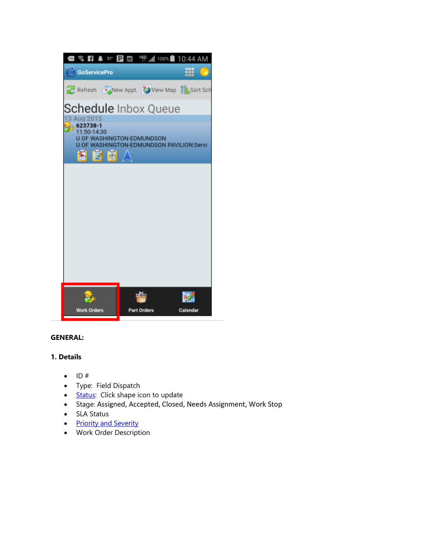

## **GENERAL:**

## **1. Details**

- $\bullet$  ID#
- Type: Field Dispatch
- **[Status:](https://portal.daktronics.lan/sites/scp/CSRKB/Pages/Case%20Status%20Definitions.aspx)** Click shape icon to update
- Stage: Assigned, Accepted, Closed, Needs Assignment, Work Stop
- SLA Status
- [Priority and Severity](https://portal.daktronics.lan/sites/scp/CSRKB/Pages/Priority%20and%20Severity%20by%20Market.aspx)
- Work Order Description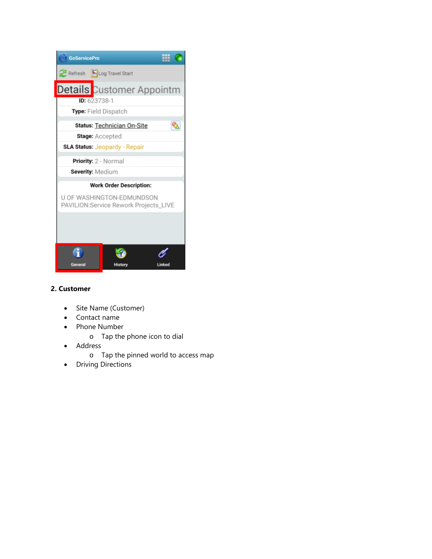

## **2. Customer**

- Site Name (Customer)
- Contact name
- Phone Number
	- o Tap the phone icon to dial
- Address
	- o Tap the pinned world to access map
- Driving Directions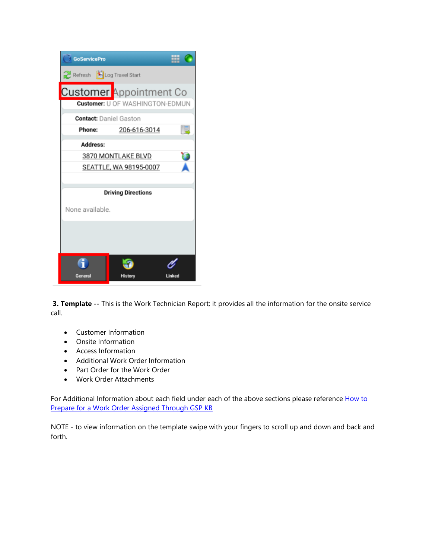| <b>GoServicePro</b>           |                                        | . .<br>с. |
|-------------------------------|----------------------------------------|-----------|
| Refresh Log Travel Start      |                                        |           |
| Customer Appointment Co       |                                        |           |
|                               | <b>Customer: U OF WASHINGTON-EDMUN</b> |           |
| <b>Contact:</b> Daniel Gaston |                                        |           |
| Phone:                        | 206-616-3014                           |           |
| Address:                      |                                        |           |
|                               | 3870 MONTLAKE BLVD                     |           |
|                               | SEATTLE, WA 98195-0007                 |           |
|                               |                                        |           |
|                               | <b>Driving Directions</b>              |           |
| None available.               |                                        |           |
|                               |                                        |           |
|                               |                                        |           |
|                               |                                        |           |
| General                       | History                                |           |

**3. Template --** This is the Work Technician Report; it provides all the information for the onsite service call.

- Customer Information
- Onsite Information
- Access Information
- Additional Work Order Information
- Part Order for the Work Order
- Work Order Attachments

For Additional Information about each field under each of the above sections please reference How to [Prepare for a Work Order Assigned Through GSP KB](https://portal.daktronics.lan/sites/scp/CSRKB/Pages/DD4136721.aspx)

NOTE - to view information on the template swipe with your fingers to scroll up and down and back and forth.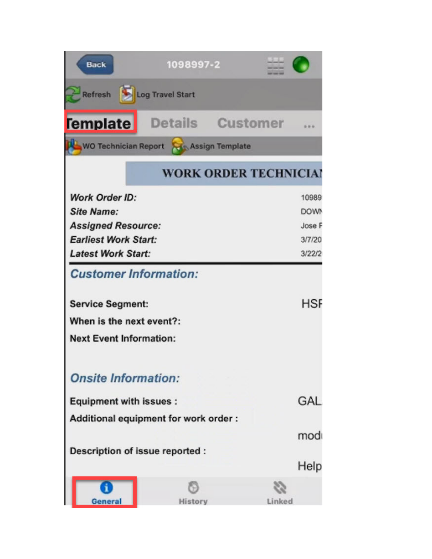| <b>Back</b>                                             | 1098997-2                            |                 |             |
|---------------------------------------------------------|--------------------------------------|-----------------|-------------|
| Refresh                                                 | Log Travel Start                     |                 |             |
| <b>Template</b>                                         | Details                              | <b>Customer</b> |             |
| <b>WO Technician Report</b>                             | Assign Template                      |                 |             |
|                                                         | <b>WORK ORDER TECHNICIAN</b>         |                 |             |
| <b>Work Order ID:</b>                                   |                                      |                 | 10989       |
| <b>Site Name:</b>                                       |                                      |                 | <b>DOWN</b> |
| <b>Assigned Resource:</b>                               |                                      |                 | Jose F      |
| <b>Earliest Work Start:</b>                             |                                      |                 | 3/7/20      |
| <b>Latest Work Start:</b>                               |                                      |                 | 3/22/2      |
| <b>Customer Information:</b><br><b>Service Segment:</b> |                                      |                 | <b>HSF</b>  |
| When is the next event?:                                |                                      |                 |             |
| <b>Next Event Information:</b>                          |                                      |                 |             |
| <b>Onsite Information:</b>                              |                                      |                 |             |
| <b>Equipment with issues:</b>                           |                                      |                 | GAL         |
|                                                         | Additional equipment for work order: |                 |             |
|                                                         |                                      |                 | mod         |
| Description of issue reported :                         |                                      |                 |             |
|                                                         |                                      |                 | Help        |
| <b>General</b>                                          | History                              | Linked          |             |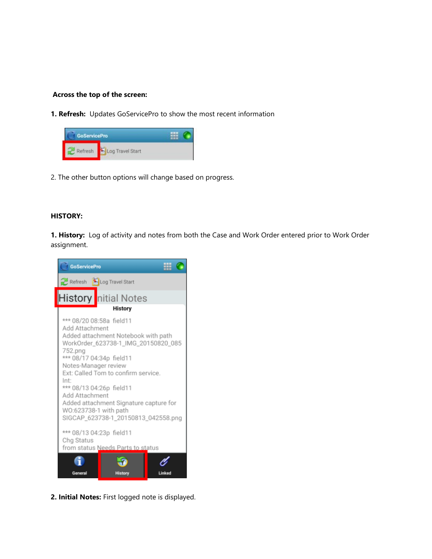#### **Across the top of the screen:**

**1. Refresh:** Updates GoServicePro to show the most recent information



2. The other button options will change based on progress.

#### **HISTORY:**

**1. History:** Log of activity and notes from both the Case and Work Order entered prior to Work Order assignment.



**2. Initial Notes:** First logged note is displayed.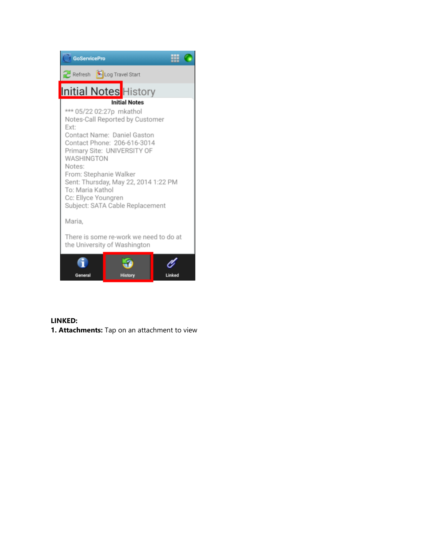

## **LINKED:**

**1. Attachments:** Tap on an attachment to view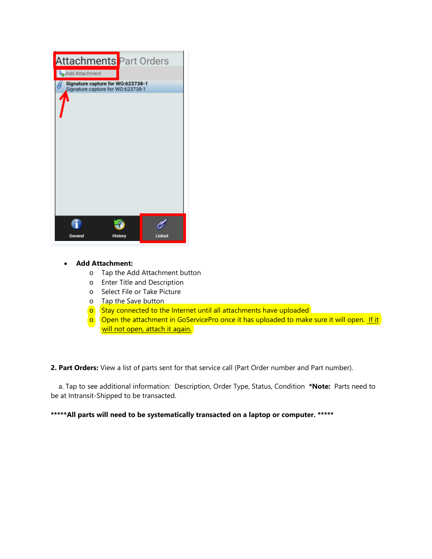

#### • **Add Attachment:**

- o Tap the Add Attachment button
- o Enter Title and Description
- o Select File or Take Picture
- o Tap the Save button
- $\circ$  Stay connected to the Internet until all attachments have uploaded
- $\circ$  Open the attachment in GoServicePro once it has uploaded to make sure it will open. If it will not open, attach it again.

**2. Part Orders:** View a list of parts sent for that service call (Part Order number and Part number).

a. Tap to see additional information: Description, Order Type, Status, Condition **\*Note:** Parts need to be at Intransit-Shipped to be transacted.

**\*\*\*\*\*All parts will need to be systematically transacted on a laptop or computer. \*\*\*\*\***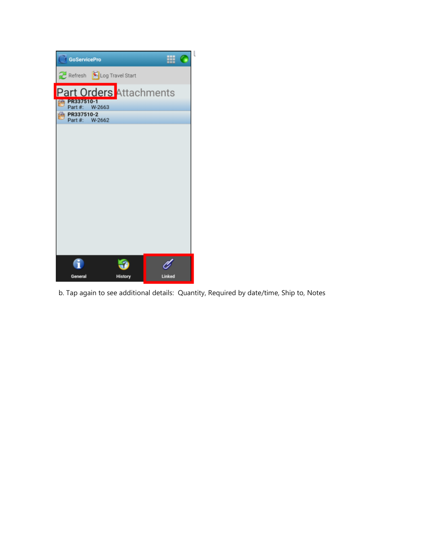| <b>GoServicePro</b>          |                           |        |  |
|------------------------------|---------------------------|--------|--|
|                              | Refresh SLog Travel Start |        |  |
|                              | Part Orders Attachments   |        |  |
| PR337510-1<br>Part #: W-2663 |                           |        |  |
| PR337510-2<br>Part #: W-2662 |                           |        |  |
|                              |                           |        |  |
|                              |                           |        |  |
|                              |                           |        |  |
|                              |                           |        |  |
|                              |                           |        |  |
|                              |                           |        |  |
|                              |                           |        |  |
|                              |                           |        |  |
|                              |                           |        |  |
|                              |                           |        |  |
|                              |                           |        |  |
|                              |                           |        |  |
| General                      | <b>History</b>            | Linked |  |

b. Tap again to see additional details: Quantity, Required by date/time, Ship to, Notes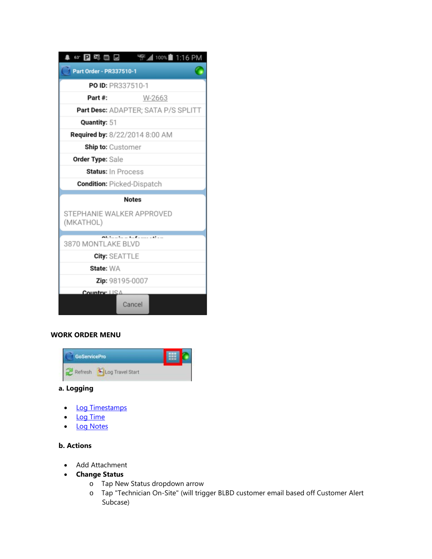| 63' P 2% O D                           | HGE 41 100% 1:16 PM                 |  |
|----------------------------------------|-------------------------------------|--|
| Part Order - PR337510-1                |                                     |  |
| PO ID: PR337510-1                      |                                     |  |
| Part#:                                 | W-2663                              |  |
|                                        | Part Desc: ADAPTER; SATA P/S SPLITT |  |
| Quantity: 51                           |                                     |  |
| Required by: 8/22/2014 8:00 AM         |                                     |  |
| <b>Ship to:</b> Customer               |                                     |  |
| <b>Order Type: Sale</b>                |                                     |  |
| Status: In Process                     |                                     |  |
| <b>Condition: Picked-Dispatch</b>      |                                     |  |
| <b>Notes</b>                           |                                     |  |
| STEPHANIE WALKER APPROVED<br>(MKATHOL) |                                     |  |
| the Common with<br>3870 MONTLAKE BLVD  |                                     |  |
| <b>City: SEATTLE</b>                   |                                     |  |
| State: WA                              |                                     |  |
| <b>Zip:</b> 98195-0007                 |                                     |  |
| Country: USA                           |                                     |  |
|                                        | Cancel                              |  |

## **WORK ORDER MENU**



## **a. Logging**

- [Log Timestamps](https://portal.daktronics.lan/sites/scp/CSRKB/Pages/DD3120555.aspx)
- [Log Time](https://portal.daktronics.lan/sites/scp/CSRKB/Pages/DD3120555.aspx)
- [Log Notes](https://portal.daktronics.lan/sites/scp/CSRKB/Pages/DD3120566.aspx)

## **b. Actions**

- Add Attachment
- **Change Status**
	- o Tap New Status dropdown arrow
	- o Tap "Technician On-Site" (will trigger BLBD customer email based off Customer Alert Subcase)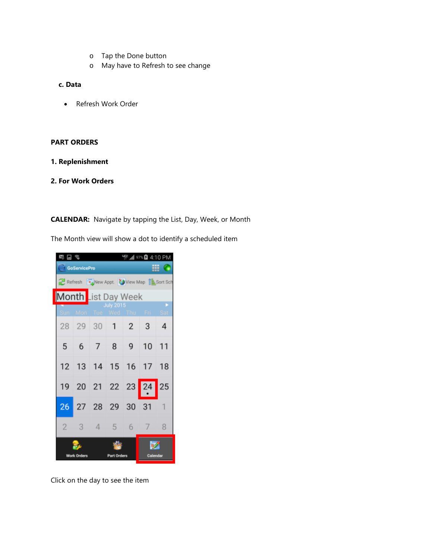- o Tap the Done button
- o May have to Refresh to see change

#### **c. Data**

• Refresh Work Order

#### **PART ORDERS**

- **1. Replenishment**
- **2. For Work Orders**

**CALENDAR:** Navigate by tapping the List, Day, Week, or Month

The Month view will show a dot to identify a scheduled item



Click on the day to see the item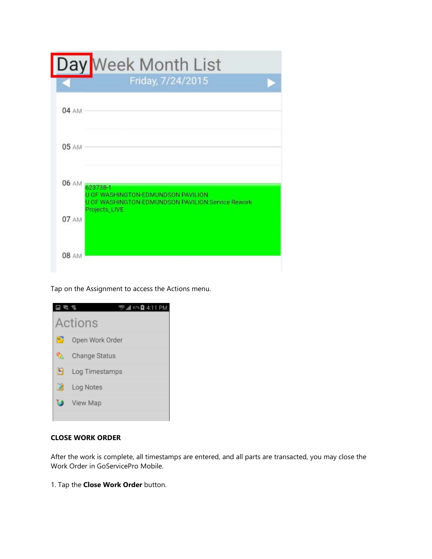|                | Day Week Month List                                                                                   |  |
|----------------|-------------------------------------------------------------------------------------------------------|--|
|                | Friday, 7/24/2015                                                                                     |  |
| 04 AM          |                                                                                                       |  |
| 05 AM          |                                                                                                       |  |
| 06 AM 623738-1 | <b>U OF WASHINGTON-EDMUNDSON PAVILION</b><br><b>U OF WASHINGTON-EDMUNDSON PAVILION:Service Rework</b> |  |
| 07 AM          | Projects_LIVE                                                                                         |  |
| 08 AM          |                                                                                                       |  |

Tap on the Assignment to access the Actions menu.



## **CLOSE WORK ORDER**

After the work is complete, all timestamps are entered, and all parts are transacted, you may close the Work Order in GoServicePro Mobile.

1. Tap the **Close Work Order** button.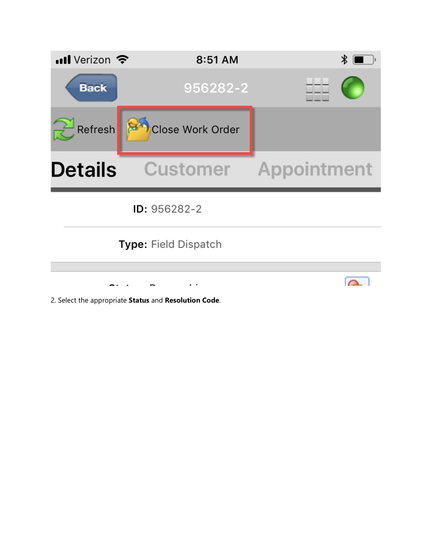

2. Select the appropriate **Status** and **Resolution Code**.